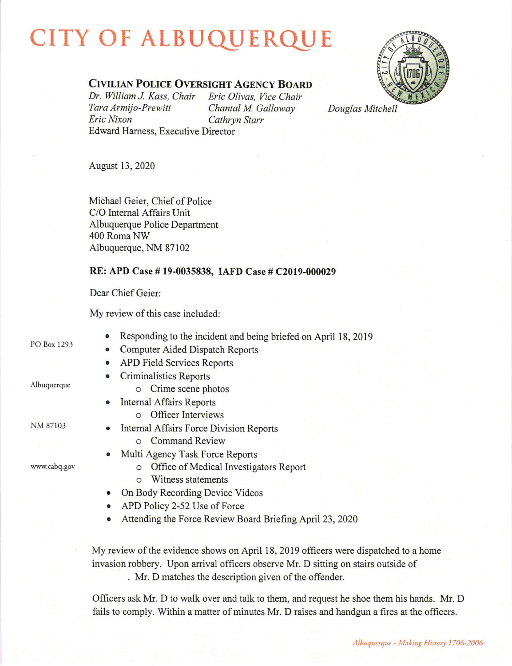## **CITY OF ALBUQUERQUE**



## CIVILIAN POLICE OVERSIGHT AGENCY BOARD

Dr. William J. Kass, Chair Eric Olivas, Vice Chair Tara Armijo-Prewitt Chantal M. Galloway Eric Nixon Cathryn Starr Edward Hamess, Executive Director

Douglas Mitchell

August 13, 2020

Michael Geier, Chief of Police C/O Internal Affairs Unit Albuquerque Police Department 400 Roma NW Albuquerque, NM 87102

## RE: APD Case # 19-0035838, IAFD Case # C2019-000029

Dear Chief Geier:

My review of this case included:

PO Box 1293

Albuquerque

- . Responding to the incident and being briefed on April 18, <sup>2019</sup>
- Computer Aided Dispatch Reports
- o APD Field Services Reports
- Criminalistics Reports o Crime scene photos
- Internal Affairs Reports o Officer Interviews

NM 87103

www.cabq.gov

- Internal Affairs Force Division Reports o Command Review
- Multi Agency Task Force Reports
	- o O{fice of Medical Investigators Report
	- o Witness statements
- On Body Recording Device Videos
- APD Policy 2-52 Use of Force
- Attending the Force Review Board Briefing April 23, 2020

My review of the evidence shows on April 18, 2019 officers were dispatched to a home invasion robbery. Upon arrival officers observe Mr. D sitting on stairs outside of

. Mr. D matches the description given of the offender.

Officers ask Mr. D to walk over and talk to them, and request he shoe them his hands. Mr. D fails to comply. Within a matter of minutes Mr. D raises and handgun a fires at the officers.